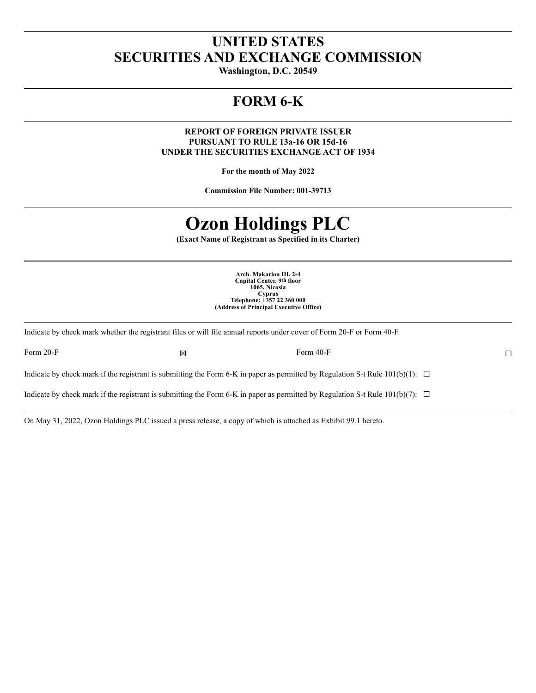# **UNITED STATES SECURITIES AND EXCHANGE COMMISSION**

**Washington, D.C. 20549**

# **FORM 6-K**

**REPORT OF FOREIGN PRIVATE ISSUER PURSUANT TO RULE 13a-16 OR 15d-16 UNDER THE SECURITIES EXCHANGE ACT OF 1934**

**For the month of May 2022**

**Commission File Number: 001-39713**

# **Ozon Holdings PLC**

**(Exact Name of Registrant as Specified in its Charter)**

**Arch. Makariou III, 2-4 Capital Center, 9th floor 1065, Nicosia Cyprus Telephone: +357 22 360 000 (Address of Principal Executive Office)**

Form 20-F  $\square$ 

Indicate by check mark whether the registrant files or will file annual reports under cover of Form 20-F or Form 40-F.

Indicate by check mark if the registrant is submitting the Form 6-K in paper as permitted by Regulation S-t Rule  $101(b)(1)$ :  $\Box$ 

Indicate by check mark if the registrant is submitting the Form 6-K in paper as permitted by Regulation S-t Rule  $101(b)(7)$ :  $\Box$ 

On May 31, 2022, Ozon Holdings PLC issued a press release, a copy of which is attached as Exhibit 99.1 hereto.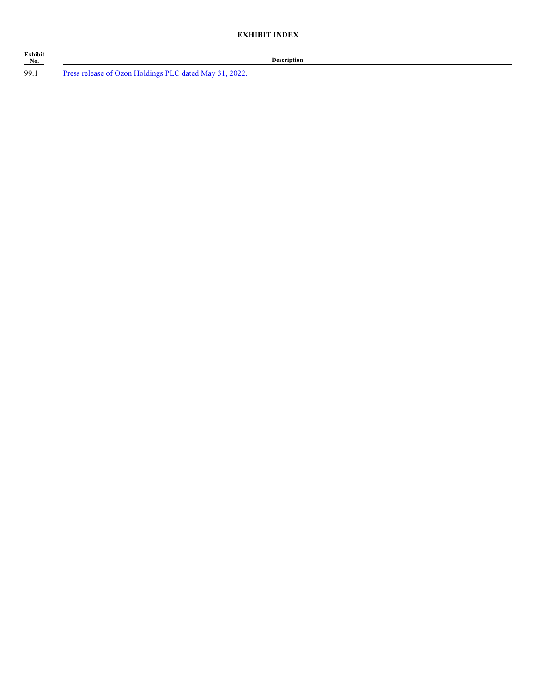| Exhibit<br>No. |                                                        |
|----------------|--------------------------------------------------------|
| 99.1           | Press release of Ozon Holdings PLC dated May 31, 2022. |

**No. Description**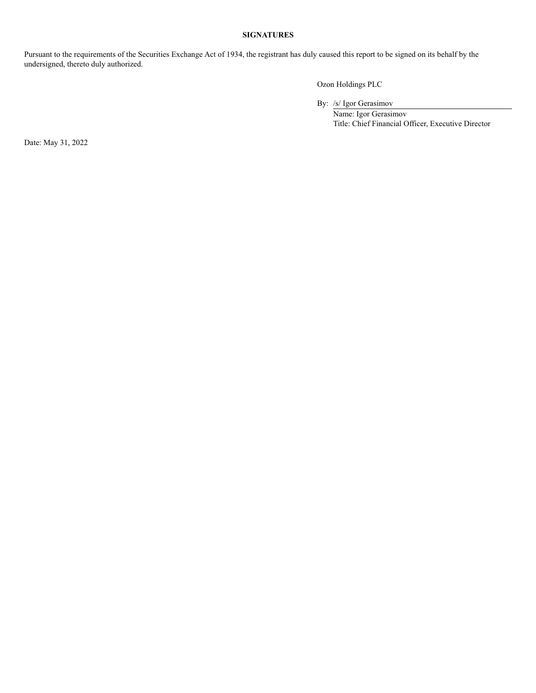#### **SIGNATURES**

Pursuant to the requirements of the Securities Exchange Act of 1934, the registrant has duly caused this report to be signed on its behalf by the undersigned, thereto duly authorized.

Ozon Holdings PLC

By: /s/ Igor Gerasimov

 Name: Igor Gerasimov Title: Chief Financial Officer, Executive Director

Date: May 31, 2022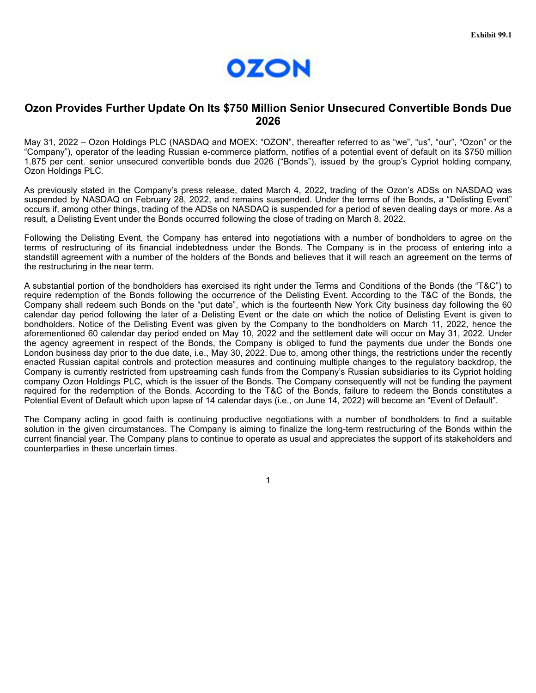

#### **Ozon Provides Further Update On Its \$750 Million Senior Unsecured Convertible Bonds Due 2026**

May 31, 2022 – Ozon Holdings PLC (NASDAQ and MOEX: "OZON", thereafter referred to as "we", "us", "our", "Ozon" or the "Company"), operator of the leading Russian e-commerce platform, notifies of a potential event of default on its \$750 million 1.875 per cent. senior unsecured convertible bonds due 2026 ("Bonds"), issued by the group's Cypriot holding company, Ozon Holdings PLC.

As previously stated in the Company's press release, dated March 4, 2022, trading of the Ozon's ADSs on NASDAQ was suspended by NASDAQ on February 28, 2022, and remains suspended. Under the terms of the Bonds, a "Delisting Event" occurs if, among other things, trading of the ADSs on NASDAQ is suspended for a period of seven dealing days or more. As a result, a Delisting Event under the Bonds occurred following the close of trading on March 8, 2022.

Following the Delisting Event, the Company has entered into negotiations with a number of bondholders to agree on the terms of restructuring of its financial indebtedness under the Bonds. The Company is in the process of entering into a standstill agreement with a number of the holders of the Bonds and believes that it will reach an agreement on the terms of the restructuring in the near term.

A substantial portion of the bondholders has exercised its right under the Terms and Conditions of the Bonds (the "T&C") to require redemption of the Bonds following the occurrence of the Delisting Event. According to the T&C of the Bonds, the Company shall redeem such Bonds on the "put date", which is the fourteenth New York City business day following the 60 calendar day period following the later of a Delisting Event or the date on which the notice of Delisting Event is given to bondholders. Notice of the Delisting Event was given by the Company to the bondholders on March 11, 2022, hence the aforementioned 60 calendar day period ended on May 10, 2022 and the settlement date will occur on May 31, 2022. Under the agency agreement in respect of the Bonds, the Company is obliged to fund the payments due under the Bonds one London business day prior to the due date, i.e., May 30, 2022. Due to, among other things, the restrictions under the recently enacted Russian capital controls and protection measures and continuing multiple changes to the regulatory backdrop, the Company is currently restricted from upstreaming cash funds from the Company's Russian subsidiaries to its Cypriot holding company Ozon Holdings PLC, which is the issuer of the Bonds. The Company consequently will not be funding the payment required for the redemption of the Bonds. According to the T&C of the Bonds, failure to redeem the Bonds constitutes a Potential Event of Default which upon lapse of 14 calendar days (i.e., on June 14, 2022) will become an "Event of Default".

The Company acting in good faith is continuing productive negotiations with a number of bondholders to find a suitable solution in the given circumstances. The Company is aiming to finalize the long-term restructuring of the Bonds within the current financial year. The Company plans to continue to operate as usual and appreciates the support of its stakeholders and counterparties in these uncertain times.

1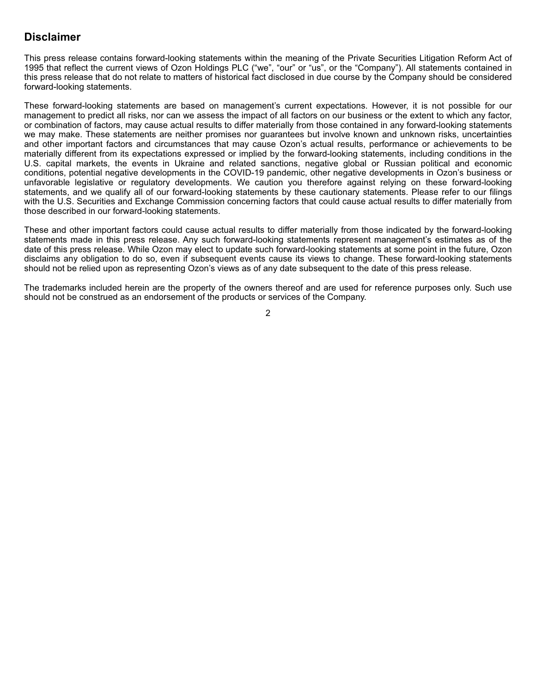### **Disclaimer**

This press release contains forward-looking statements within the meaning of the Private Securities Litigation Reform Act of 1995 that reflect the current views of Ozon Holdings PLC ("we", "our" or "us", or the "Company"). All statements contained in this press release that do not relate to matters of historical fact disclosed in due course by the Company should be considered forward-looking statements.

These forward-looking statements are based on management's current expectations. However, it is not possible for our management to predict all risks, nor can we assess the impact of all factors on our business or the extent to which any factor, or combination of factors, may cause actual results to differ materially from those contained in any forward-looking statements we may make. These statements are neither promises nor guarantees but involve known and unknown risks, uncertainties and other important factors and circumstances that may cause Ozon's actual results, performance or achievements to be materially different from its expectations expressed or implied by the forward-looking statements, including conditions in the U.S. capital markets, the events in Ukraine and related sanctions, negative global or Russian political and economic conditions, potential negative developments in the COVID-19 pandemic, other negative developments in Ozon's business or unfavorable legislative or regulatory developments. We caution you therefore against relying on these forward-looking statements, and we qualify all of our forward-looking statements by these cautionary statements. Please refer to our filings with the U.S. Securities and Exchange Commission concerning factors that could cause actual results to differ materially from those described in our forward-looking statements.

These and other important factors could cause actual results to differ materially from those indicated by the forward-looking statements made in this press release. Any such forward-looking statements represent management's estimates as of the date of this press release. While Ozon may elect to update such forward-looking statements at some point in the future, Ozon disclaims any obligation to do so, even if subsequent events cause its views to change. These forward-looking statements should not be relied upon as representing Ozon's views as of any date subsequent to the date of this press release.

The trademarks included herein are the property of the owners thereof and are used for reference purposes only. Such use should not be construed as an endorsement of the products or services of the Company.

2